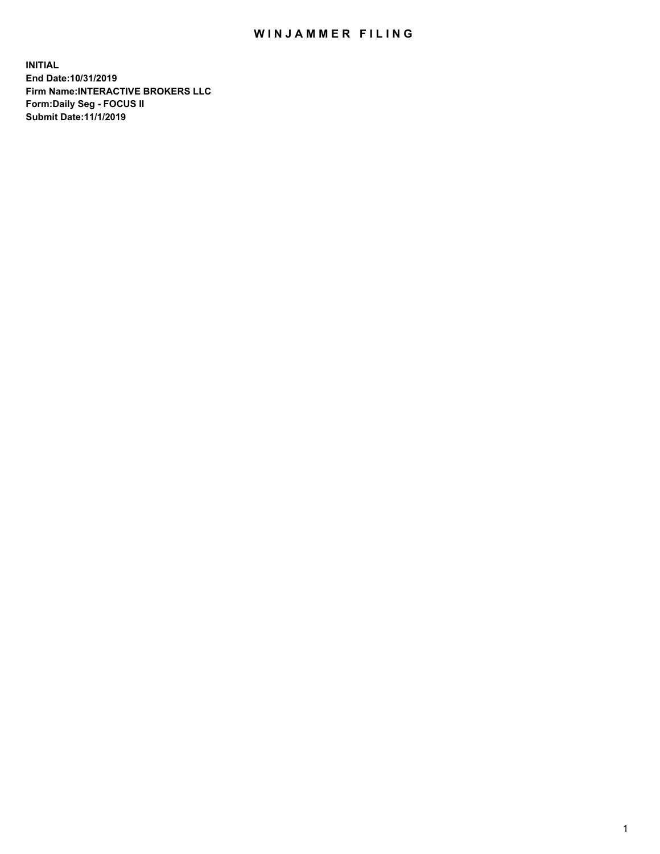## WIN JAMMER FILING

**INITIAL End Date:10/31/2019 Firm Name:INTERACTIVE BROKERS LLC Form:Daily Seg - FOCUS II Submit Date:11/1/2019**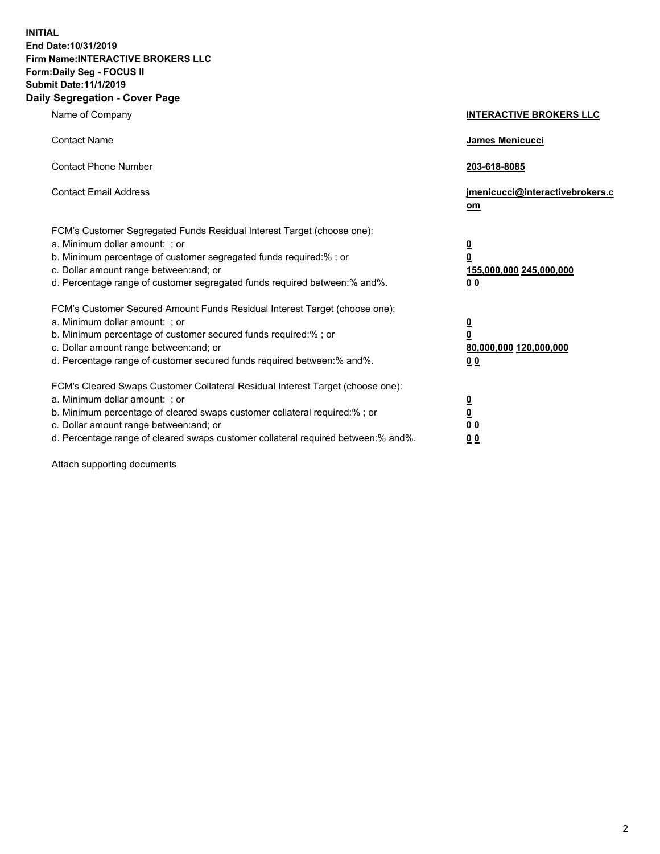**INITIAL End Date:10/31/2019 Firm Name:INTERACTIVE BROKERS LLC Form:Daily Seg - FOCUS II Submit Date:11/1/2019 Daily Segregation - Cover Page**

| Name of Company                                                                                                                                                                                                                                                                                                                | <b>INTERACTIVE BROKERS LLC</b>                                                                  |
|--------------------------------------------------------------------------------------------------------------------------------------------------------------------------------------------------------------------------------------------------------------------------------------------------------------------------------|-------------------------------------------------------------------------------------------------|
| <b>Contact Name</b>                                                                                                                                                                                                                                                                                                            | James Menicucci                                                                                 |
| <b>Contact Phone Number</b>                                                                                                                                                                                                                                                                                                    | 203-618-8085                                                                                    |
| <b>Contact Email Address</b>                                                                                                                                                                                                                                                                                                   | jmenicucci@interactivebrokers.c<br>om                                                           |
| FCM's Customer Segregated Funds Residual Interest Target (choose one):<br>a. Minimum dollar amount: ; or<br>b. Minimum percentage of customer segregated funds required:% ; or<br>c. Dollar amount range between: and; or<br>d. Percentage range of customer segregated funds required between:% and%.                         | $\overline{\mathbf{0}}$<br>$\overline{\mathbf{0}}$<br>155,000,000 245,000,000<br>0 <sub>0</sub> |
| FCM's Customer Secured Amount Funds Residual Interest Target (choose one):<br>a. Minimum dollar amount: ; or<br>b. Minimum percentage of customer secured funds required:%; or<br>c. Dollar amount range between: and; or<br>d. Percentage range of customer secured funds required between:% and%.                            | $\overline{\mathbf{0}}$<br>$\overline{\mathbf{0}}$<br>80,000,000 120,000,000<br>0 <sub>0</sub>  |
| FCM's Cleared Swaps Customer Collateral Residual Interest Target (choose one):<br>a. Minimum dollar amount: ; or<br>b. Minimum percentage of cleared swaps customer collateral required:% ; or<br>c. Dollar amount range between: and; or<br>d. Percentage range of cleared swaps customer collateral required between:% and%. | $\overline{\mathbf{0}}$<br>$\underline{\mathbf{0}}$<br>0 <sub>0</sub><br>0 <sub>0</sub>         |

Attach supporting documents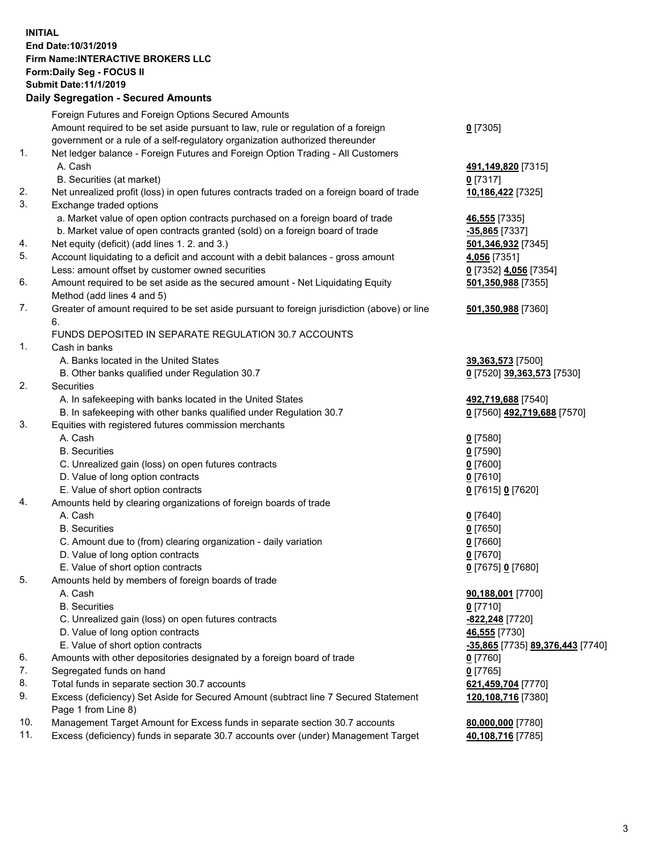## **INITIAL End Date:10/31/2019 Firm Name:INTERACTIVE BROKERS LLC Form:Daily Seg - FOCUS II Submit Date:11/1/2019 Daily Segregation - Secured Amounts**

|     | 2011 - 2001 - 2001 - 2000 - 2011 - 2011 - 2011 - 2011 - 2011 - 2011 - 2012 - 2012 - 2012 - 2014 - 20 |                                                            |
|-----|------------------------------------------------------------------------------------------------------|------------------------------------------------------------|
|     | Foreign Futures and Foreign Options Secured Amounts                                                  |                                                            |
|     | Amount required to be set aside pursuant to law, rule or regulation of a foreign                     | $0$ [7305]                                                 |
|     | government or a rule of a self-regulatory organization authorized thereunder                         |                                                            |
| 1.  | Net ledger balance - Foreign Futures and Foreign Option Trading - All Customers                      |                                                            |
|     | A. Cash                                                                                              | 491,149,820 [7315]                                         |
|     | B. Securities (at market)                                                                            | $0$ [7317]                                                 |
| 2.  | Net unrealized profit (loss) in open futures contracts traded on a foreign board of trade            | 10,186,422 [7325]                                          |
| 3.  | Exchange traded options                                                                              |                                                            |
|     | a. Market value of open option contracts purchased on a foreign board of trade                       | 46,555 [7335]                                              |
|     | b. Market value of open contracts granted (sold) on a foreign board of trade                         | -35,865 [7337]                                             |
| 4.  | Net equity (deficit) (add lines 1.2. and 3.)                                                         | 501,346,932 [7345]                                         |
| 5.  | Account liquidating to a deficit and account with a debit balances - gross amount                    | 4,056 [7351]                                               |
|     | Less: amount offset by customer owned securities                                                     | 0 [7352] 4,056 [7354]                                      |
| 6.  | Amount required to be set aside as the secured amount - Net Liquidating Equity                       | 501,350,988 [7355]                                         |
|     | Method (add lines 4 and 5)                                                                           |                                                            |
| 7.  | Greater of amount required to be set aside pursuant to foreign jurisdiction (above) or line          | 501,350,988 [7360]                                         |
|     | 6.                                                                                                   |                                                            |
|     | FUNDS DEPOSITED IN SEPARATE REGULATION 30.7 ACCOUNTS                                                 |                                                            |
| 1.  | Cash in banks                                                                                        |                                                            |
|     | A. Banks located in the United States                                                                | 39,363,573 [7500]                                          |
|     | B. Other banks qualified under Regulation 30.7                                                       | 0 [7520] 39,363,573 [7530]                                 |
| 2.  | Securities                                                                                           |                                                            |
|     | A. In safekeeping with banks located in the United States                                            | 492,719,688 [7540]                                         |
|     | B. In safekeeping with other banks qualified under Regulation 30.7                                   | 0 [7560] 492,719,688 [7570]                                |
| 3.  | Equities with registered futures commission merchants                                                |                                                            |
|     | A. Cash                                                                                              | $0$ [7580]                                                 |
|     | <b>B.</b> Securities                                                                                 | $0$ [7590]                                                 |
|     | C. Unrealized gain (loss) on open futures contracts                                                  | $0$ [7600]                                                 |
|     | D. Value of long option contracts                                                                    | $0$ [7610]                                                 |
|     | E. Value of short option contracts                                                                   | 0 [7615] 0 [7620]                                          |
| 4.  | Amounts held by clearing organizations of foreign boards of trade                                    |                                                            |
|     | A. Cash                                                                                              | $0$ [7640]                                                 |
|     | <b>B.</b> Securities                                                                                 | $0$ [7650]                                                 |
|     | C. Amount due to (from) clearing organization - daily variation                                      | $0$ [7660]                                                 |
|     | D. Value of long option contracts                                                                    | $0$ [7670]                                                 |
|     | E. Value of short option contracts                                                                   | 0 [7675] 0 [7680]                                          |
| 5.  | Amounts held by members of foreign boards of trade                                                   |                                                            |
|     | A. Cash                                                                                              | 90,188,001 [7700]                                          |
|     | <b>B.</b> Securities                                                                                 | $0$ [7710]                                                 |
|     | C. Unrealized gain (loss) on open futures contracts                                                  | -822,248 [7720]                                            |
|     | D. Value of long option contracts                                                                    | 46,555 [7730]                                              |
|     | E. Value of short option contracts                                                                   | <mark>-35,865</mark> [7735] <mark>89,376,443</mark> [7740] |
| 6.  | Amounts with other depositories designated by a foreign board of trade                               | 0 [7760]                                                   |
| 7.  | Segregated funds on hand                                                                             | $0$ [7765]                                                 |
| 8.  | Total funds in separate section 30.7 accounts                                                        | 621,459,704 [7770]                                         |
| 9.  | Excess (deficiency) Set Aside for Secured Amount (subtract line 7 Secured Statement                  | 120,108,716 [7380]                                         |
|     | Page 1 from Line 8)                                                                                  |                                                            |
| 10. | Management Target Amount for Excess funds in separate section 30.7 accounts                          | 80,000,000 [7780]                                          |
| 11. | Excess (deficiency) funds in separate 30.7 accounts over (under) Management Target                   | 40,108,716 [7785]                                          |
|     |                                                                                                      |                                                            |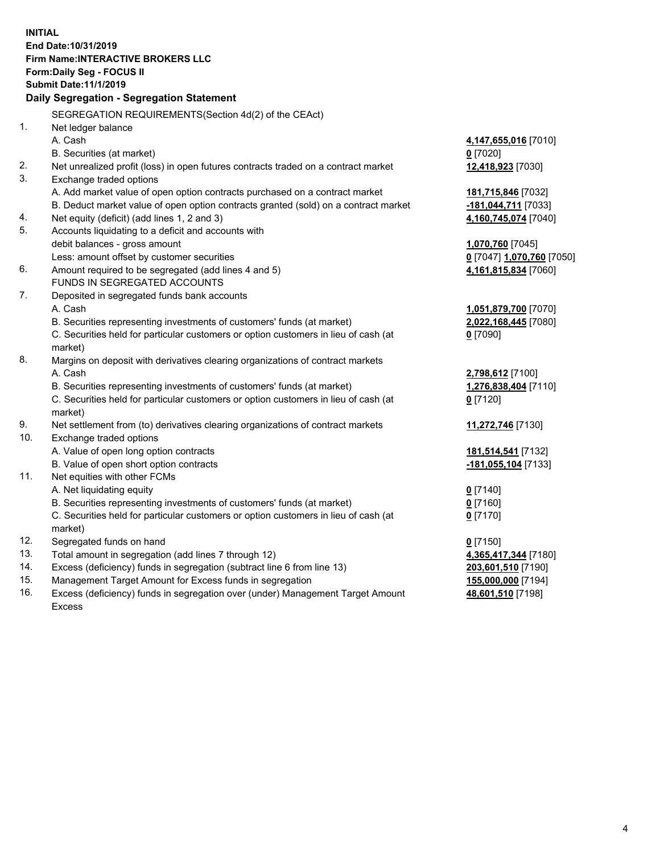**INITIAL End Date:10/31/2019 Firm Name:INTERACTIVE BROKERS LLC Form:Daily Seg - FOCUS II Submit Date:11/1/2019 Daily Segregation - Segregation Statement** SEGREGATION REQUIREMENTS(Section 4d(2) of the CEAct) 1. Net ledger balance A. Cash **4,147,655,016** [7010] B. Securities (at market) **0** [7020] 2. Net unrealized profit (loss) in open futures contracts traded on a contract market **12,418,923** [7030] 3. Exchange traded options A. Add market value of open option contracts purchased on a contract market **181,715,846** [7032] B. Deduct market value of open option contracts granted (sold) on a contract market **-181,044,711** [7033] 4. Net equity (deficit) (add lines 1, 2 and 3) **4,160,745,074** [7040] 5. Accounts liquidating to a deficit and accounts with debit balances - gross amount **1,070,760** [7045] Less: amount offset by customer securities **0** [7047] **1,070,760** [7050] 6. Amount required to be segregated (add lines 4 and 5) **4,161,815,834** [7060] FUNDS IN SEGREGATED ACCOUNTS 7. Deposited in segregated funds bank accounts A. Cash **1,051,879,700** [7070] B. Securities representing investments of customers' funds (at market) **2,022,168,445** [7080] C. Securities held for particular customers or option customers in lieu of cash (at market) **0** [7090] 8. Margins on deposit with derivatives clearing organizations of contract markets A. Cash **2,798,612** [7100] B. Securities representing investments of customers' funds (at market) **1,276,838,404** [7110] C. Securities held for particular customers or option customers in lieu of cash (at market) **0** [7120] 9. Net settlement from (to) derivatives clearing organizations of contract markets **11,272,746** [7130] 10. Exchange traded options A. Value of open long option contracts **181,514,541** [7132] B. Value of open short option contracts **-181,055,104** [7133] 11. Net equities with other FCMs A. Net liquidating equity **0** [7140] B. Securities representing investments of customers' funds (at market) **0** [7160] C. Securities held for particular customers or option customers in lieu of cash (at market) **0** [7170] 12. Segregated funds on hand **0** [7150] 13. Total amount in segregation (add lines 7 through 12) **4,365,417,344** [7180] 14. Excess (deficiency) funds in segregation (subtract line 6 from line 13) **203,601,510** [7190] 15. Management Target Amount for Excess funds in segregation **155,000,000** [7194] **48,601,510** [7198]

16. Excess (deficiency) funds in segregation over (under) Management Target Amount Excess